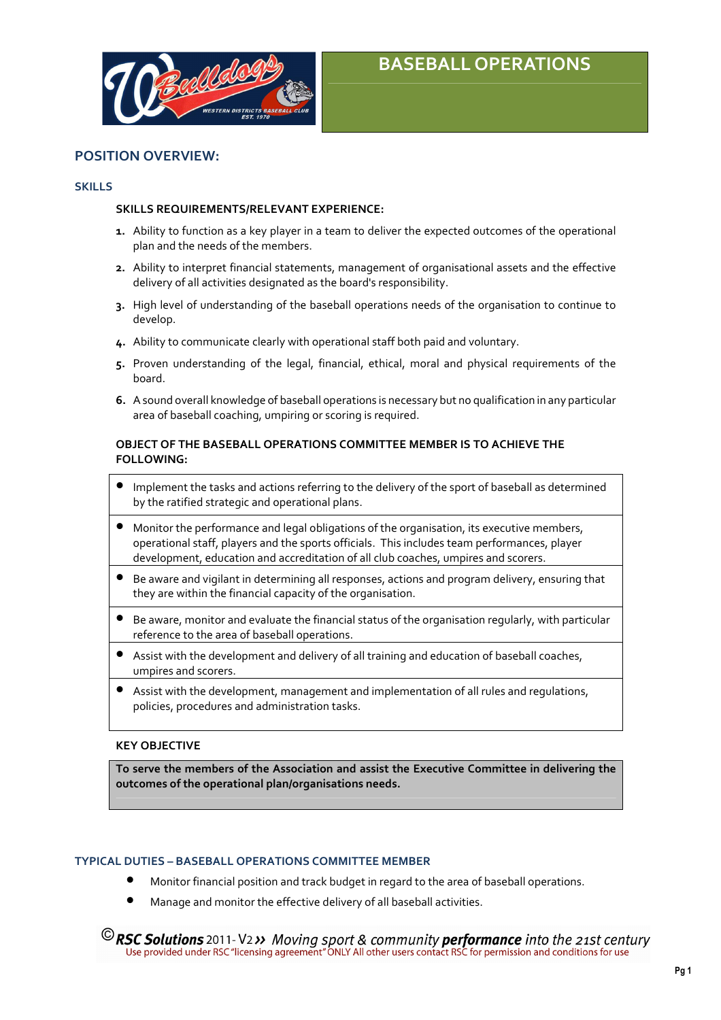

# BASEBALL OPERATIONS

# POSITION OVERVIEW:

#### **SKILLS**

#### SKILLS REQUIREMENTS/RELEVANT EXPERIENCE:

- 1. Ability to function as a key player in a team to deliver the expected outcomes of the operational plan and the needs of the members.
- 2. Ability to interpret financial statements, management of organisational assets and the effective delivery of all activities designated as the board's responsibility.
- 3. High level of understanding of the baseball operations needs of the organisation to continue to develop.
- 4. Ability to communicate clearly with operational staff both paid and voluntary.
- 5. Proven understanding of the legal, financial, ethical, moral and physical requirements of the board.
- 6. A sound overall knowledge of baseball operations is necessary but no qualification in any particular area of baseball coaching, umpiring or scoring is required.

# OBJECT OF THE BASEBALL OPERATIONS COMMITTEE MEMBER IS TO ACHIEVE THE FOLLOWING:

- Implement the tasks and actions referring to the delivery of the sport of baseball as determined by the ratified strategic and operational plans.
- Monitor the performance and legal obligations of the organisation, its executive members, operational staff, players and the sports officials. This includes team performances, player development, education and accreditation of all club coaches, umpires and scorers.
- Be aware and vigilant in determining all responses, actions and program delivery, ensuring that they are within the financial capacity of the organisation.
- Be aware, monitor and evaluate the financial status of the organisation regularly, with particular reference to the area of baseball operations.
- Assist with the development and delivery of all training and education of baseball coaches, umpires and scorers.
- Assist with the development, management and implementation of all rules and regulations, policies, procedures and administration tasks.

#### KEY OBJECTIVE

To serve the members of the Association and assist the Executive Committee in delivering the outcomes of the operational plan/organisations needs.

#### TYPICAL DUTIES – BASEBALL OPERATIONS COMMITTEE MEMBER

- Monitor financial position and track budget in regard to the area of baseball operations.
- Manage and monitor the effective delivery of all baseball activities.
- <sup>©</sup>RSC Solutions 2011-V2>> Moving sport & community performance into the 21st century Use provided under RSC "licensing agreement" ONLY All other users contact RSC for permission and conditions for use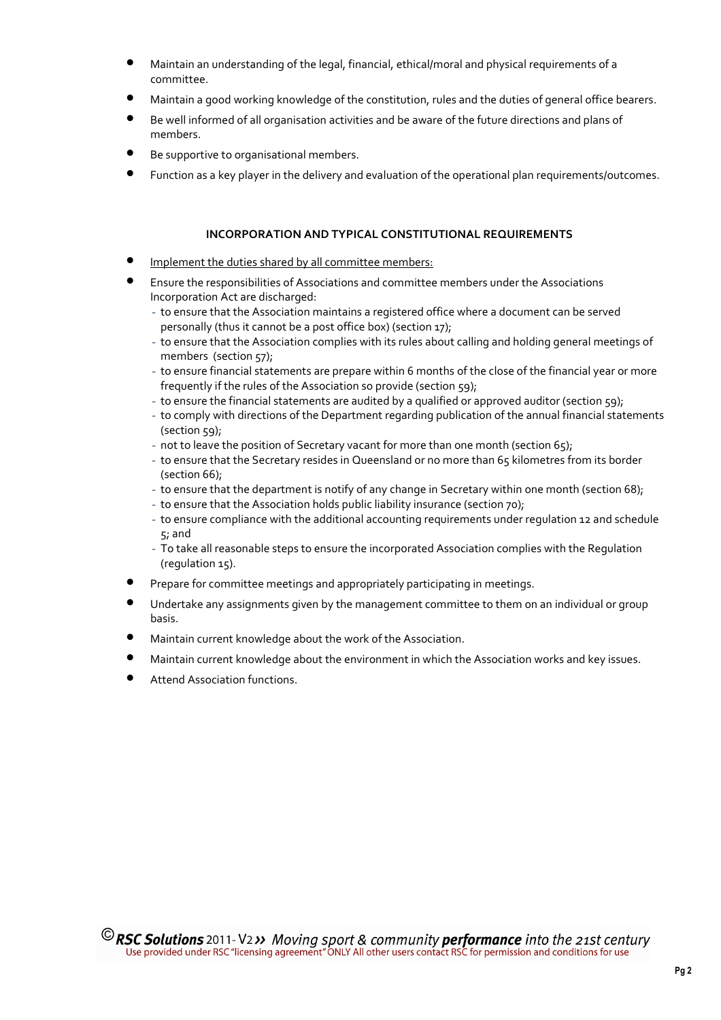- Maintain an understanding of the legal, financial, ethical/moral and physical requirements of a committee.
- Maintain a good working knowledge of the constitution, rules and the duties of general office bearers.
- Be well informed of all organisation activities and be aware of the future directions and plans of members.
- Be supportive to organisational members.
- Function as a key player in the delivery and evaluation of the operational plan requirements/outcomes.

# INCORPORATION AND TYPICAL CONSTITUTIONAL REQUIREMENTS

- Implement the duties shared by all committee members:
- Ensure the responsibilities of Associations and committee members under the Associations Incorporation Act are discharged:
	- to ensure that the Association maintains a registered office where a document can be served personally (thus it cannot be a post office box) (section 17);
	- to ensure that the Association complies with its rules about calling and holding general meetings of members (section 57);
	- to ensure financial statements are prepare within 6 months of the close of the financial year or more frequently if the rules of the Association so provide (section 59);
	- to ensure the financial statements are audited by a qualified or approved auditor (section 59);
	- to comply with directions of the Department regarding publication of the annual financial statements (section 59);
	- not to leave the position of Secretary vacant for more than one month (section 65);
	- to ensure that the Secretary resides in Queensland or no more than 65 kilometres from its border (section 66);
	- to ensure that the department is notify of any change in Secretary within one month (section 68);
	- to ensure that the Association holds public liability insurance (section 70);
	- to ensure compliance with the additional accounting requirements under regulation 12 and schedule 5; and
	- To take all reasonable steps to ensure the incorporated Association complies with the Regulation (regulation 15).
- Prepare for committee meetings and appropriately participating in meetings.
- Undertake any assignments given by the management committee to them on an individual or group basis.
- Maintain current knowledge about the work of the Association.
- Maintain current knowledge about the environment in which the Association works and key issues.
- Attend Association functions.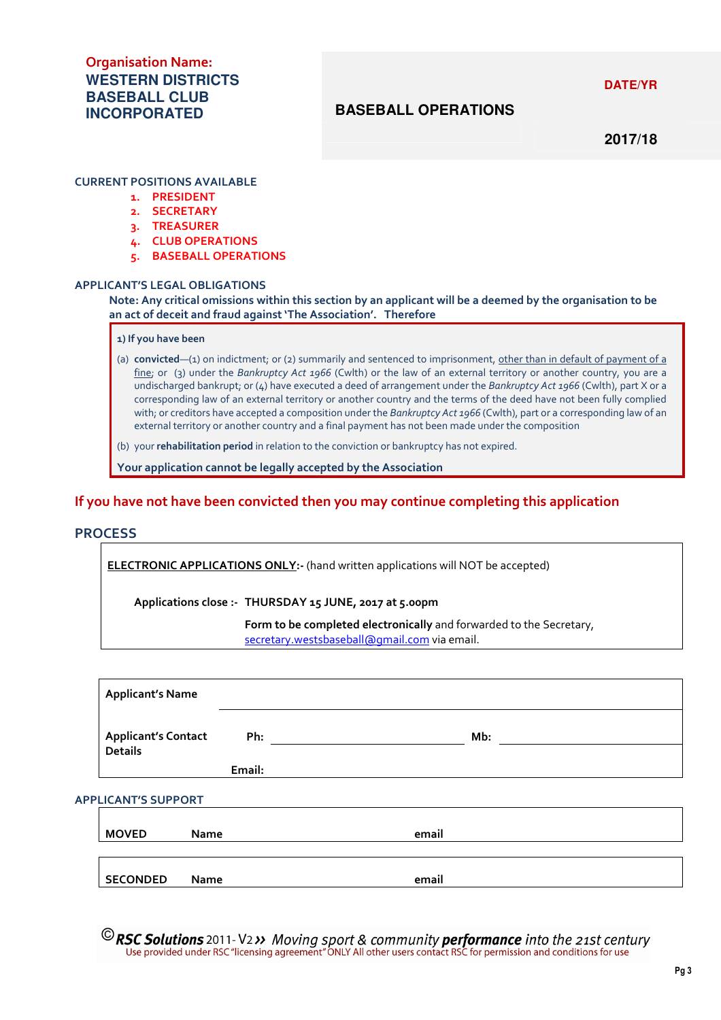**2014/15 DATE/YR** 

# Organisation Name: **WESTERN DISTRICTS BASEBALL CLUB INCORPORATED**

# **BASEBALL OPERATIONS**

**2017/18** 

### CURRENT POSITIONS AVAILABLE

- 1. PRESIDENT
- 2. SECRETARY
- 3. TREASURER
- 4. CLUB OPERATIONS
- 5. BASEBALL OPERATIONS

#### APPLICANT'S LEGAL OBLIGATIONS

### Note: Any critical omissions within this section by an applicant will be a deemed by the organisation to be an act of deceit and fraud against 'The Association'. Therefore

# 1) If you have been

(a) convicted—(1) on indictment; or (2) summarily and sentenced to imprisonment, other than in default of payment of a fine; or (3) under the Bankruptcy Act 1966 (Cwlth) or the law of an external territory or another country, you are a undischarged bankrupt; or (4) have executed a deed of arrangement under the Bankruptcy Act 1966 (Cwlth), part X or a corresponding law of an external territory or another country and the terms of the deed have not been fully complied with; or creditors have accepted a composition under the Bankruptcy Act 1966 (Cwlth), part or a corresponding law of an external territory or another country and a final payment has not been made under the composition

(b) your rehabilitation period in relation to the conviction or bankruptcy has not expired.

Your application cannot be legally accepted by the Association

# If you have not have been convicted then you may continue completing this application

## **PROCESS**

ELECTRONIC APPLICATIONS ONLY:- (hand written applications will NOT be accepted)

Applications close :- THURSDAY 15 JUNE, 2017 at 5.00pm

Form to be completed electronically and forwarded to the Secretary, secretary.westsbaseball@gmail.com via email.

|                            | <b>Applicant's Name</b>                      |             |        |  |  |       |     |  |
|----------------------------|----------------------------------------------|-------------|--------|--|--|-------|-----|--|
|                            | <b>Applicant's Contact</b><br><b>Details</b> |             | Ph:    |  |  |       | Mb: |  |
|                            |                                              |             | Email: |  |  |       |     |  |
| <b>APPLICANT'S SUPPORT</b> |                                              |             |        |  |  |       |     |  |
|                            | <b>MOVED</b>                                 | <b>Name</b> |        |  |  | email |     |  |
|                            |                                              |             |        |  |  |       |     |  |
|                            | <b>SECONDED</b>                              | <b>Name</b> |        |  |  | email |     |  |

<sup>©</sup>RSC Solutions 2011-V2>> Moving sport & community performance into the 21st century Use provided under RSC "licensing agreement" ONLY All other users contact RSC for permission and conditions for use